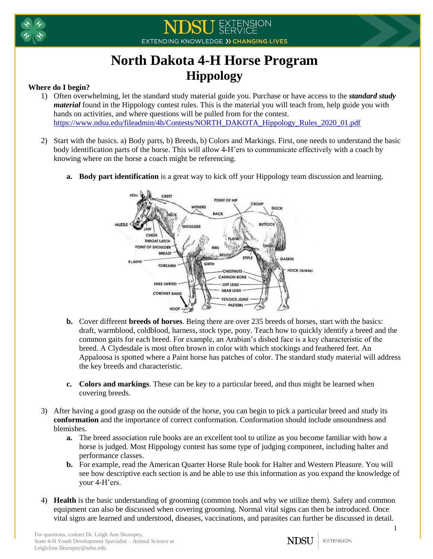



## **North Dakota 4-H Horse Program Hippology**

## **Where do I begin?**

- 1) Often overwhelming, let the standard study material guide you. Purchase or have access to the *standard study material* found in the Hippology contest rules. This is the material you will teach from, help guide you with hands on activities, and where questions will be pulled from for the contest. [https://www.ndsu.edu/fileadmin/4h/Contests/NORTH\\_DAKOTA\\_Hippology\\_Rules\\_2020\\_01.pdf](https://www.ndsu.edu/fileadmin/4h/Contests/NORTH_DAKOTA_Hippology_Rules_2020_01.pdf)
- 2) Start with the basics. a) Body parts, b) Breeds, b) Colors and Markings. First, one needs to understand the basic body identification parts of the horse. This will allow 4-H'ers to communicate effectively with a coach by knowing where on the horse a coach might be referencing.
	- **a. Body part identification** is a great way to kick off your Hippology team discussion and learning.



- **b.** Cover different **breeds of horses**. Being there are over 235 breeds of horses, start with the basics: draft, warmblood, coldblood, harness, stock type, pony. Teach how to quickly identify a breed and the common gaits for each breed. For example, an Arabian's dished face is a key characteristic of the breed. A Clydesdale is most often brown in color with which stockings and feathered feet. An Appaloosa is spotted where a Paint horse has patches of color. The standard study material will address the key breeds and characteristic.
- **c. Colors and markings**. These can be key to a particular breed, and thus might be learned when covering breeds.
- 3) After having a good grasp on the outside of the horse, you can begin to pick a particular breed and study its **conformation** and the importance of correct conformation. Conformation should include unsoundness and blemishes.
	- **a.** The breed association rule books are an excellent tool to utilize as you become familiar with how a horse is judged. Most Hippology contest has some type of judging component, including halter and performance classes.
	- **b.** For example, read the American Quarter Horse Rule book for Halter and Western Pleasure. You will see how descriptive each section is and be able to use this information as you expand the knowledge of your 4-H'ers.
- 4) **Health** is the basic understanding of grooming (common tools and why we utilize them). Safety and common equipment can also be discussed when covering grooming. Normal vital signs can then be introduced. Once vital signs are learned and understood, diseases, vaccinations, and parasites can further be discussed in detail.